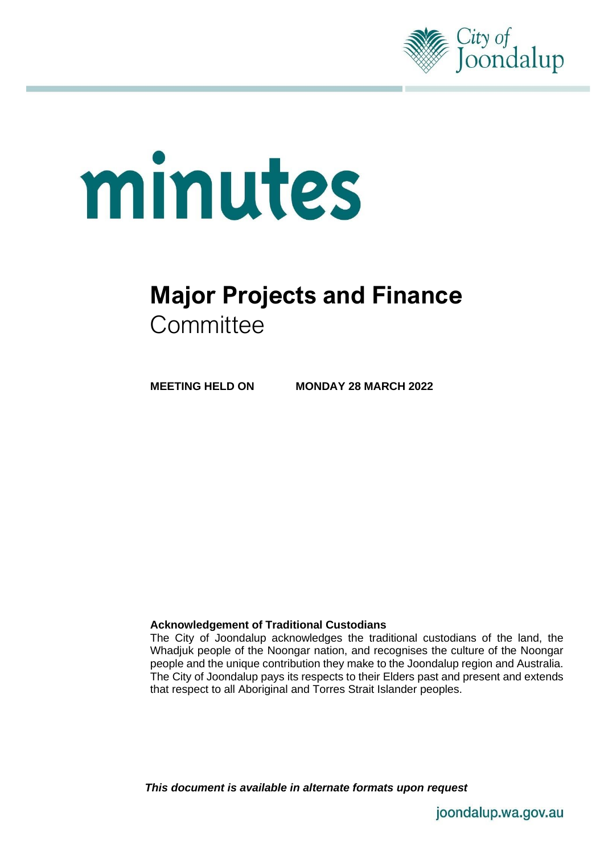

# minutes

# **Major Projects and Finance Committee**

**MEETING HELD ON MONDAY 28 MARCH 2022**

### **Acknowledgement of Traditional Custodians**

The City of Joondalup acknowledges the traditional custodians of the land, the Whadjuk people of the Noongar nation, and recognises the culture of the Noongar people and the unique contribution they make to the Joondalup region and Australia. The City of Joondalup pays its respects to their Elders past and present and extends that respect to all Aboriginal and Torres Strait Islander peoples.

*This document is available in alternate formats upon request*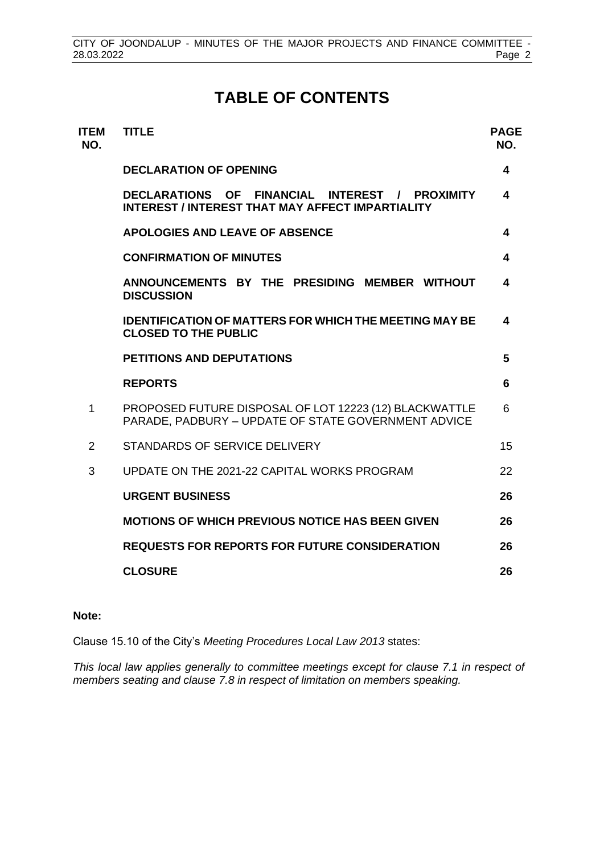# **TABLE OF CONTENTS**

| <b>ITEM</b><br>NO. | <b>TITLE</b>                                                                                                  | <b>PAGE</b><br>NO. |
|--------------------|---------------------------------------------------------------------------------------------------------------|--------------------|
|                    | <b>DECLARATION OF OPENING</b>                                                                                 | 4                  |
|                    | DECLARATIONS OF FINANCIAL INTEREST / PROXIMITY<br><b>INTEREST / INTEREST THAT MAY AFFECT IMPARTIALITY</b>     | 4                  |
|                    | <b>APOLOGIES AND LEAVE OF ABSENCE</b>                                                                         | 4                  |
|                    | <b>CONFIRMATION OF MINUTES</b>                                                                                | 4                  |
|                    | ANNOUNCEMENTS BY THE PRESIDING MEMBER WITHOUT<br><b>DISCUSSION</b>                                            | 4                  |
|                    | <b>IDENTIFICATION OF MATTERS FOR WHICH THE MEETING MAY BE</b><br><b>CLOSED TO THE PUBLIC</b>                  | 4                  |
|                    | <b>PETITIONS AND DEPUTATIONS</b>                                                                              | 5                  |
|                    | <b>REPORTS</b>                                                                                                | 6                  |
| 1                  | PROPOSED FUTURE DISPOSAL OF LOT 12223 (12) BLACKWATTLE<br>PARADE, PADBURY - UPDATE OF STATE GOVERNMENT ADVICE | 6                  |
| 2                  | STANDARDS OF SERVICE DELIVERY                                                                                 | 15                 |
| 3                  | UPDATE ON THE 2021-22 CAPITAL WORKS PROGRAM                                                                   | 22                 |
|                    | <b>URGENT BUSINESS</b>                                                                                        | 26                 |
|                    | <b>MOTIONS OF WHICH PREVIOUS NOTICE HAS BEEN GIVEN</b>                                                        | 26                 |
|                    | <b>REQUESTS FOR REPORTS FOR FUTURE CONSIDERATION</b>                                                          | 26                 |
|                    | <b>CLOSURE</b>                                                                                                | 26                 |

### **Note:**

Clause 15.10 of the City's *Meeting Procedures Local Law 2013* states:

*This local law applies generally to committee meetings except for clause 7.1 in respect of members seating and clause 7.8 in respect of limitation on members speaking.*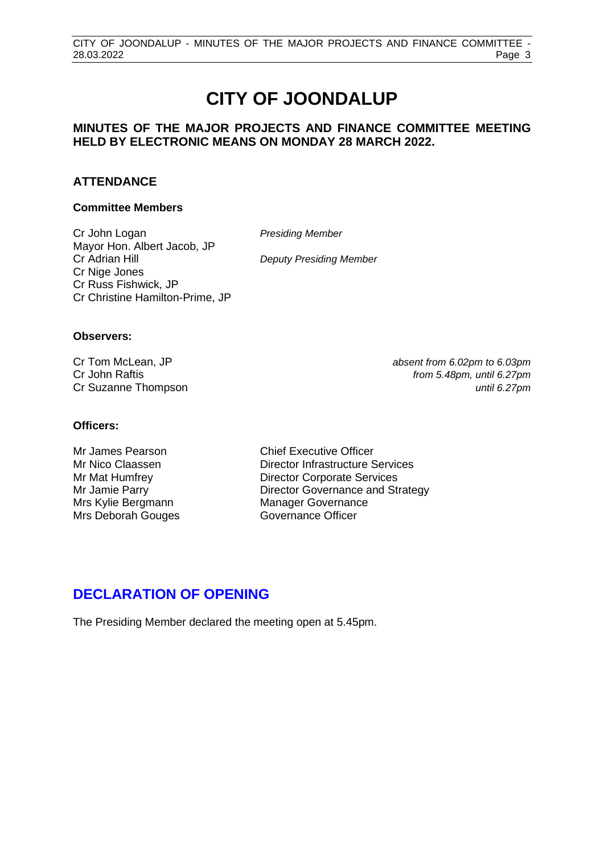# **CITY OF JOONDALUP**

### **MINUTES OF THE MAJOR PROJECTS AND FINANCE COMMITTEE MEETING HELD BY ELECTRONIC MEANS ON MONDAY 28 MARCH 2022.**

### **ATTENDANCE**

### **Committee Members**

Cr John Logan *Presiding Member* Mayor Hon. Albert Jacob, JP Cr Adrian Hill *Deputy Presiding Member* Cr Nige Jones Cr Russ Fishwick, JP Cr Christine Hamilton-Prime, JP

### **Observers:**

Cr Tom McLean, JP *absent from 6.02pm to 6.03pm* Cr John Raftis *from 5.48pm, until 6.27pm* Cr Suzanne Thompson *until 6.27pm*

### **Officers:**

Mrs Kylie Bergmann Manager Governance Mrs Deborah Gouges Governance Officer

Mr James Pearson Chief Executive Officer Mr Nico Claassen Director Infrastructure Services Mr Mat Humfrey Director Corporate Services Mr Jamie Parry **Director Governance and Strategy** 

# **DECLARATION OF OPENING**

The Presiding Member declared the meeting open at 5.45pm.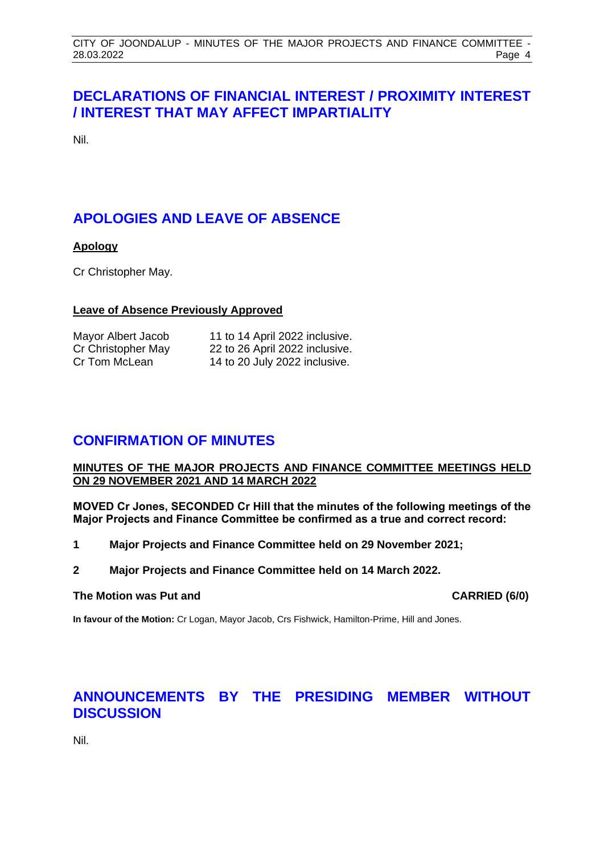# <span id="page-3-0"></span>**DECLARATIONS OF FINANCIAL INTEREST / PROXIMITY INTEREST / INTEREST THAT MAY AFFECT IMPARTIALITY**

<span id="page-3-1"></span>Nil.

# **APOLOGIES AND LEAVE OF ABSENCE**

### **Apology**

Cr Christopher May.

### **Leave of Absence Previously Approved**

<span id="page-3-2"></span>

| Mayor Albert Jacob | 11 to 14 April 2022 inclusive. |
|--------------------|--------------------------------|
| Cr Christopher May | 22 to 26 April 2022 inclusive. |
| Cr Tom McLean      | 14 to 20 July 2022 inclusive.  |

# **CONFIRMATION OF MINUTES**

### **MINUTES OF THE MAJOR PROJECTS AND FINANCE COMMITTEE MEETINGS HELD ON 29 NOVEMBER 2021 AND 14 MARCH 2022**

**MOVED Cr Jones, SECONDED Cr Hill that the minutes of the following meetings of the Major Projects and Finance Committee be confirmed as a true and correct record:**

- **1 Major Projects and Finance Committee held on 29 November 2021;**
- **2 Major Projects and Finance Committee held on 14 March 2022.**

### **The Motion was Put and CARRIED (6/0)**

**In favour of the Motion:** Cr Logan, Mayor Jacob, Crs Fishwick, Hamilton-Prime, Hill and Jones.

# <span id="page-3-3"></span>**ANNOUNCEMENTS BY THE PRESIDING MEMBER WITHOUT DISCUSSION**

<span id="page-3-4"></span>Nil.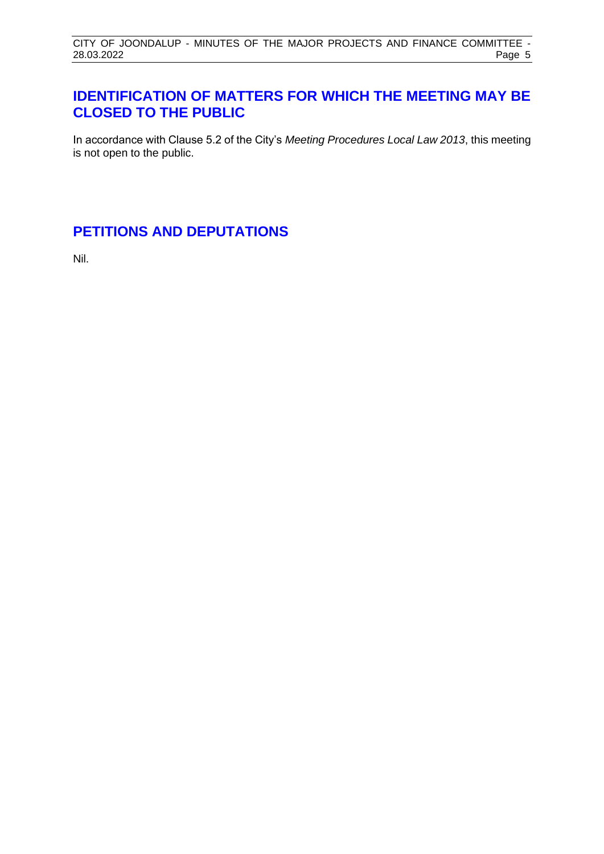# **IDENTIFICATION OF MATTERS FOR WHICH THE MEETING MAY BE CLOSED TO THE PUBLIC**

In accordance with Clause 5.2 of the City's *Meeting Procedures Local Law 2013*, this meeting is not open to the public.

# <span id="page-4-0"></span>**PETITIONS AND DEPUTATIONS**

Nil.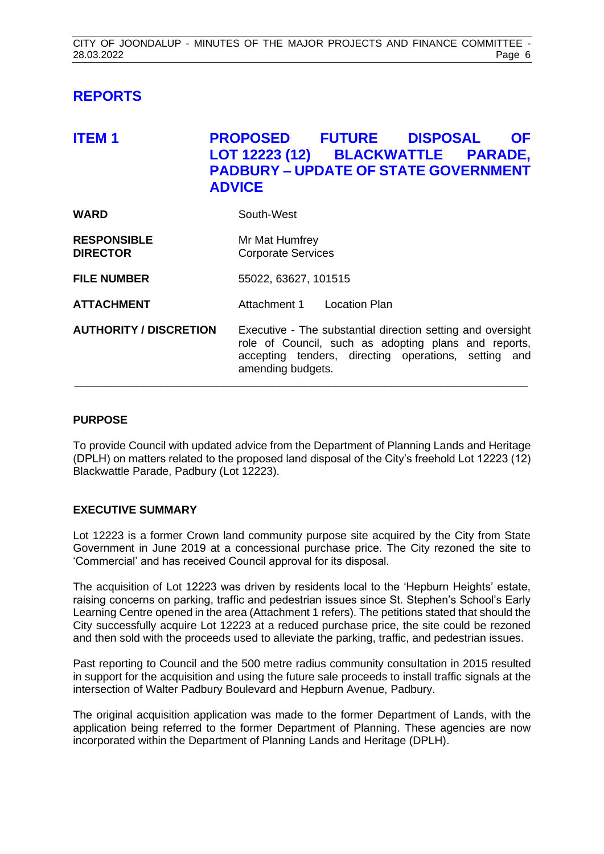# <span id="page-5-0"></span>**REPORTS**

<span id="page-5-1"></span>

| <b>ITEM1</b>                          | <b>PROPOSED FUTURE DISPOSAL</b><br><b>OF</b><br>LOT 12223 (12) BLACKWATTLE PARADE,<br><b>PADBURY - UPDATE OF STATE GOVERNMENT</b><br><b>ADVICE</b>                                               |
|---------------------------------------|--------------------------------------------------------------------------------------------------------------------------------------------------------------------------------------------------|
| WARD                                  | South-West                                                                                                                                                                                       |
| <b>RESPONSIBLE</b><br><b>DIRECTOR</b> | Mr Mat Humfrey<br><b>Corporate Services</b>                                                                                                                                                      |
| <b>FILE NUMBER</b>                    | 55022, 63627, 101515                                                                                                                                                                             |
| <b>ATTACHMENT</b>                     | Attachment 1 Location Plan                                                                                                                                                                       |
| <b>AUTHORITY / DISCRETION</b>         | Executive - The substantial direction setting and oversight<br>role of Council, such as adopting plans and reports,<br>accepting tenders, directing operations, setting and<br>amending budgets. |

### **PURPOSE**

To provide Council with updated advice from the Department of Planning Lands and Heritage (DPLH) on matters related to the proposed land disposal of the City's freehold Lot 12223 (12) Blackwattle Parade, Padbury (Lot 12223).

### **EXECUTIVE SUMMARY**

Lot 12223 is a former Crown land community purpose site acquired by the City from State Government in June 2019 at a concessional purchase price. The City rezoned the site to 'Commercial' and has received Council approval for its disposal.

The acquisition of Lot 12223 was driven by residents local to the 'Hepburn Heights' estate, raising concerns on parking, traffic and pedestrian issues since St. Stephen's School's Early Learning Centre opened in the area (Attachment 1 refers). The petitions stated that should the City successfully acquire Lot 12223 at a reduced purchase price, the site could be rezoned and then sold with the proceeds used to alleviate the parking, traffic, and pedestrian issues.

Past reporting to Council and the 500 metre radius community consultation in 2015 resulted in support for the acquisition and using the future sale proceeds to install traffic signals at the intersection of Walter Padbury Boulevard and Hepburn Avenue, Padbury.

The original acquisition application was made to the former Department of Lands, with the application being referred to the former Department of Planning. These agencies are now incorporated within the Department of Planning Lands and Heritage (DPLH).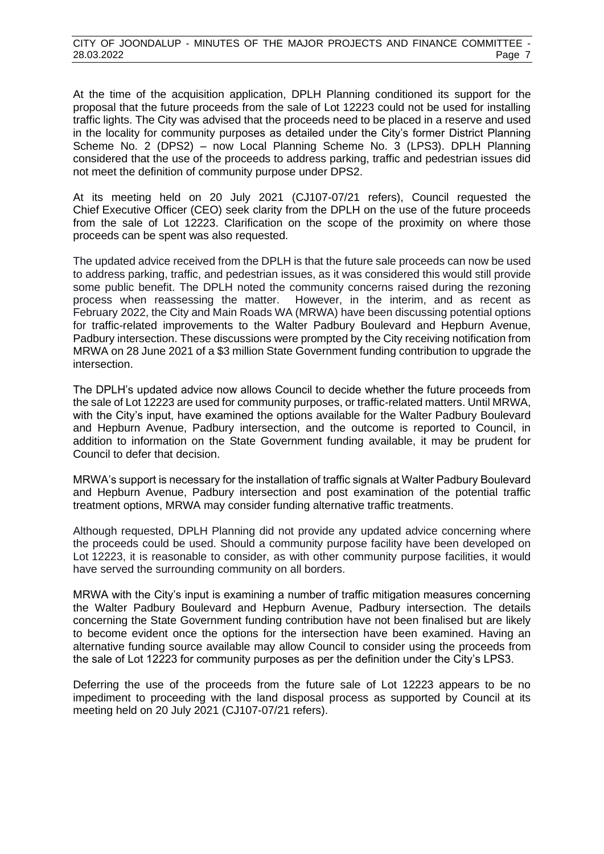At the time of the acquisition application, DPLH Planning conditioned its support for the proposal that the future proceeds from the sale of Lot 12223 could not be used for installing traffic lights. The City was advised that the proceeds need to be placed in a reserve and used in the locality for community purposes as detailed under the City's former District Planning Scheme No. 2 (DPS2) – now Local Planning Scheme No. 3 (LPS3). DPLH Planning considered that the use of the proceeds to address parking, traffic and pedestrian issues did not meet the definition of community purpose under DPS2.

At its meeting held on 20 July 2021 (CJ107-07/21 refers), Council requested the Chief Executive Officer (CEO) seek clarity from the DPLH on the use of the future proceeds from the sale of Lot 12223. Clarification on the scope of the proximity on where those proceeds can be spent was also requested.

The updated advice received from the DPLH is that the future sale proceeds can now be used to address parking, traffic, and pedestrian issues, as it was considered this would still provide some public benefit. The DPLH noted the community concerns raised during the rezoning process when reassessing the matter. However, in the interim, and as recent as February 2022, the City and Main Roads WA (MRWA) have been discussing potential options for traffic-related improvements to the Walter Padbury Boulevard and Hepburn Avenue, Padbury intersection. These discussions were prompted by the City receiving notification from MRWA on 28 June 2021 of a \$3 million State Government funding contribution to upgrade the intersection.

The DPLH's updated advice now allows Council to decide whether the future proceeds from the sale of Lot 12223 are used for community purposes, or traffic-related matters. Until MRWA, with the City's input, have examined the options available for the Walter Padbury Boulevard and Hepburn Avenue, Padbury intersection, and the outcome is reported to Council, in addition to information on the State Government funding available, it may be prudent for Council to defer that decision.

MRWA's support is necessary for the installation of traffic signals at Walter Padbury Boulevard and Hepburn Avenue, Padbury intersection and post examination of the potential traffic treatment options, MRWA may consider funding alternative traffic treatments.

Although requested, DPLH Planning did not provide any updated advice concerning where the proceeds could be used. Should a community purpose facility have been developed on Lot 12223, it is reasonable to consider, as with other community purpose facilities, it would have served the surrounding community on all borders.

MRWA with the City's input is examining a number of traffic mitigation measures concerning the Walter Padbury Boulevard and Hepburn Avenue, Padbury intersection. The details concerning the State Government funding contribution have not been finalised but are likely to become evident once the options for the intersection have been examined. Having an alternative funding source available may allow Council to consider using the proceeds from the sale of Lot 12223 for community purposes as per the definition under the City's LPS3.

Deferring the use of the proceeds from the future sale of Lot 12223 appears to be no impediment to proceeding with the land disposal process as supported by Council at its meeting held on 20 July 2021 (CJ107-07/21 refers).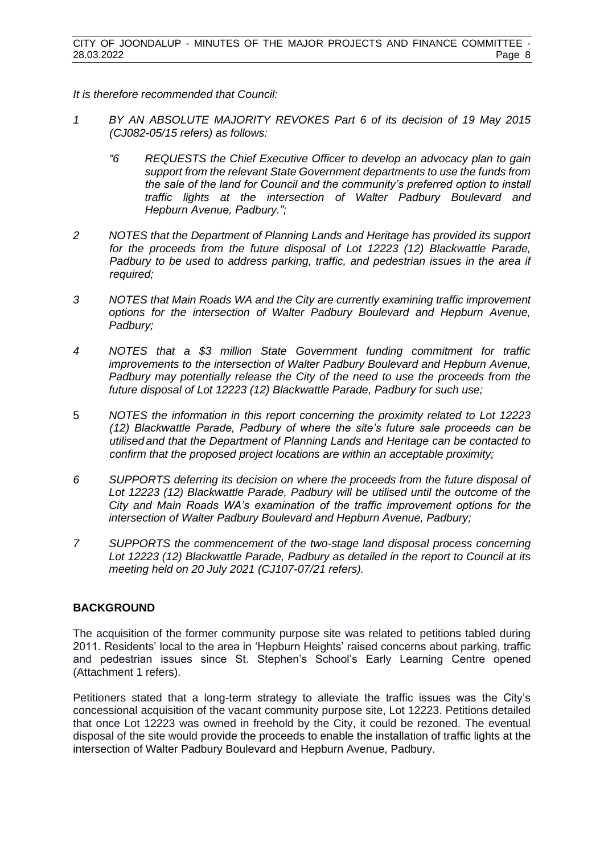*It is therefore recommended that Council:*

- *1 BY AN ABSOLUTE MAJORITY REVOKES Part 6 of its decision of 19 May 2015 (CJ082-05/15 refers) as follows:*
	- *"6 REQUESTS the Chief Executive Officer to develop an advocacy plan to gain support from the relevant State Government departments to use the funds from the sale of the land for Council and the community's preferred option to install traffic lights at the intersection of Walter Padbury Boulevard and Hepburn Avenue, Padbury.";*
- *2 NOTES that the Department of Planning Lands and Heritage has provided its support for the proceeds from the future disposal of Lot 12223 (12) Blackwattle Parade, Padbury to be used to address parking, traffic, and pedestrian issues in the area if required;*
- *3 NOTES that Main Roads WA and the City are currently examining traffic improvement options for the intersection of Walter Padbury Boulevard and Hepburn Avenue, Padbury;*
- *4 NOTES that a \$3 million State Government funding commitment for traffic improvements to the intersection of Walter Padbury Boulevard and Hepburn Avenue, Padbury may potentially release the City of the need to use the proceeds from the future disposal of Lot 12223 (12) Blackwattle Parade, Padbury for such use;*
- 5 *NOTES the information in this report concerning the proximity related to Lot 12223 (12) Blackwattle Parade, Padbury of where the site's future sale proceeds can be utilised and that the Department of Planning Lands and Heritage can be contacted to confirm that the proposed project locations are within an acceptable proximity;*
- *6 SUPPORTS deferring its decision on where the proceeds from the future disposal of Lot 12223 (12) Blackwattle Parade, Padbury will be utilised until the outcome of the City and Main Roads WA's examination of the traffic improvement options for the intersection of Walter Padbury Boulevard and Hepburn Avenue, Padbury;*
- *7 SUPPORTS the commencement of the two-stage land disposal process concerning Lot 12223 (12) Blackwattle Parade, Padbury as detailed in the report to Council at its meeting held on 20 July 2021 (CJ107-07/21 refers).*

### **BACKGROUND**

The acquisition of the former community purpose site was related to petitions tabled during 2011. Residents' local to the area in 'Hepburn Heights' raised concerns about parking, traffic and pedestrian issues since St. Stephen's School's Early Learning Centre opened (Attachment 1 refers).

Petitioners stated that a long-term strategy to alleviate the traffic issues was the City's concessional acquisition of the vacant community purpose site, Lot 12223. Petitions detailed that once Lot 12223 was owned in freehold by the City, it could be rezoned. The eventual disposal of the site would provide the proceeds to enable the installation of traffic lights at the intersection of Walter Padbury Boulevard and Hepburn Avenue, Padbury.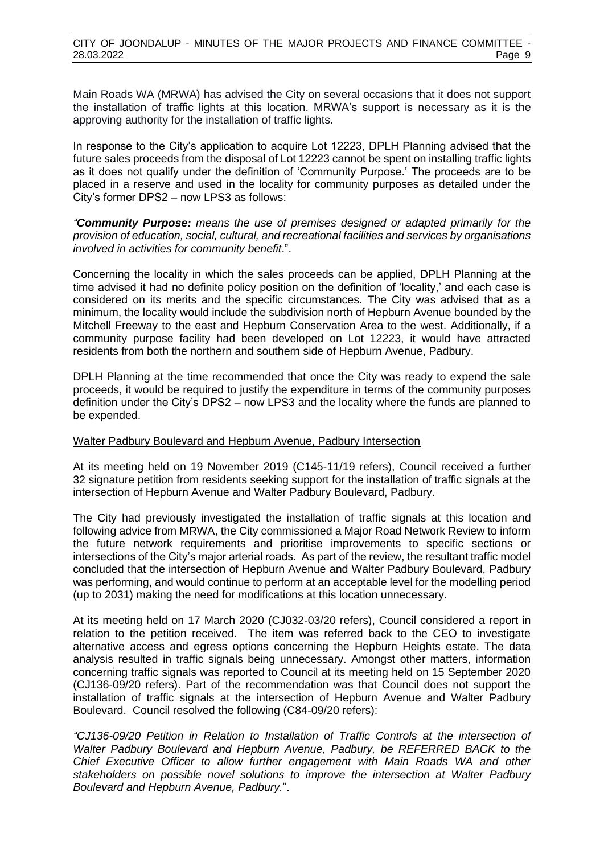Main Roads WA (MRWA) has advised the City on several occasions that it does not support the installation of traffic lights at this location. MRWA's support is necessary as it is the approving authority for the installation of traffic lights.

In response to the City's application to acquire Lot 12223, DPLH Planning advised that the future sales proceeds from the disposal of Lot 12223 cannot be spent on installing traffic lights as it does not qualify under the definition of 'Community Purpose.' The proceeds are to be placed in a reserve and used in the locality for community purposes as detailed under the City's former DPS2 – now LPS3 as follows:

*"Community Purpose: means the use of premises designed or adapted primarily for the provision of education, social, cultural, and recreational facilities and services by organisations involved in activities for community benefit*.".

Concerning the locality in which the sales proceeds can be applied, DPLH Planning at the time advised it had no definite policy position on the definition of 'locality,' and each case is considered on its merits and the specific circumstances. The City was advised that as a minimum, the locality would include the subdivision north of Hepburn Avenue bounded by the Mitchell Freeway to the east and Hepburn Conservation Area to the west. Additionally, if a community purpose facility had been developed on Lot 12223, it would have attracted residents from both the northern and southern side of Hepburn Avenue, Padbury.

DPLH Planning at the time recommended that once the City was ready to expend the sale proceeds, it would be required to justify the expenditure in terms of the community purposes definition under the City's DPS2 – now LPS3 and the locality where the funds are planned to be expended.

### Walter Padbury Boulevard and Hepburn Avenue, Padbury Intersection

At its meeting held on 19 November 2019 (C145-11/19 refers), Council received a further 32 signature petition from residents seeking support for the installation of traffic signals at the intersection of Hepburn Avenue and Walter Padbury Boulevard, Padbury.

The City had previously investigated the installation of traffic signals at this location and following advice from MRWA, the City commissioned a Major Road Network Review to inform the future network requirements and prioritise improvements to specific sections or intersections of the City's major arterial roads. As part of the review, the resultant traffic model concluded that the intersection of Hepburn Avenue and Walter Padbury Boulevard, Padbury was performing, and would continue to perform at an acceptable level for the modelling period (up to 2031) making the need for modifications at this location unnecessary.

At its meeting held on 17 March 2020 (CJ032-03/20 refers), Council considered a report in relation to the petition received. The item was referred back to the CEO to investigate alternative access and egress options concerning the Hepburn Heights estate. The data analysis resulted in traffic signals being unnecessary. Amongst other matters, information concerning traffic signals was reported to Council at its meeting held on 15 September 2020 (CJ136-09/20 refers). Part of the recommendation was that Council does not support the installation of traffic signals at the intersection of Hepburn Avenue and Walter Padbury Boulevard. Council resolved the following (C84-09/20 refers):

*"CJ136-09/20 Petition in Relation to Installation of Traffic Controls at the intersection of Walter Padbury Boulevard and Hepburn Avenue, Padbury, be REFERRED BACK to the Chief Executive Officer to allow further engagement with Main Roads WA and other stakeholders on possible novel solutions to improve the intersection at Walter Padbury Boulevard and Hepburn Avenue, Padbury.*".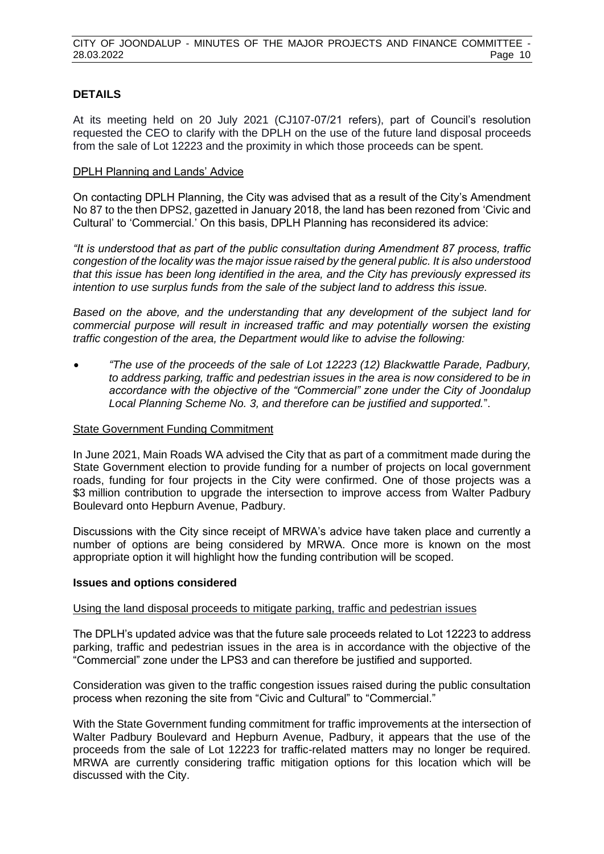### **DETAILS**

At its meeting held on 20 July 2021 (CJ107-07/21 refers), part of Council's resolution requested the CEO to clarify with the DPLH on the use of the future land disposal proceeds from the sale of Lot 12223 and the proximity in which those proceeds can be spent.

### DPLH Planning and Lands' Advice

On contacting DPLH Planning, the City was advised that as a result of the City's Amendment No 87 to the then DPS2, gazetted in January 2018, the land has been rezoned from 'Civic and Cultural' to 'Commercial.' On this basis, DPLH Planning has reconsidered its advice:

*"It is understood that as part of the public consultation during Amendment 87 process, traffic congestion of the locality was the major issue raised by the general public. It is also understood that this issue has been long identified in the area, and the City has previously expressed its intention to use surplus funds from the sale of the subject land to address this issue.* 

*Based on the above, and the understanding that any development of the subject land for commercial purpose will result in increased traffic and may potentially worsen the existing traffic congestion of the area, the Department would like to advise the following:* 

• *"The use of the proceeds of the sale of Lot 12223 (12) Blackwattle Parade, Padbury, to address parking, traffic and pedestrian issues in the area is now considered to be in accordance with the objective of the "Commercial" zone under the City of Joondalup Local Planning Scheme No. 3, and therefore can be justified and supported.*".

### State Government Funding Commitment

In June 2021, Main Roads WA advised the City that as part of a commitment made during the State Government election to provide funding for a number of projects on local government roads, funding for four projects in the City were confirmed. One of those projects was a \$3 million contribution to upgrade the intersection to improve access from Walter Padbury Boulevard onto Hepburn Avenue, Padbury.

Discussions with the City since receipt of MRWA's advice have taken place and currently a number of options are being considered by MRWA. Once more is known on the most appropriate option it will highlight how the funding contribution will be scoped.

### **Issues and options considered**

### Using the land disposal proceeds to mitigate parking, traffic and pedestrian issues

The DPLH's updated advice was that the future sale proceeds related to Lot 12223 to address parking, traffic and pedestrian issues in the area is in accordance with the objective of the "Commercial" zone under the LPS3 and can therefore be justified and supported.

Consideration was given to the traffic congestion issues raised during the public consultation process when rezoning the site from "Civic and Cultural" to "Commercial."

With the State Government funding commitment for traffic improvements at the intersection of Walter Padbury Boulevard and Hepburn Avenue, Padbury, it appears that the use of the proceeds from the sale of Lot 12223 for traffic-related matters may no longer be required. MRWA are currently considering traffic mitigation options for this location which will be discussed with the City.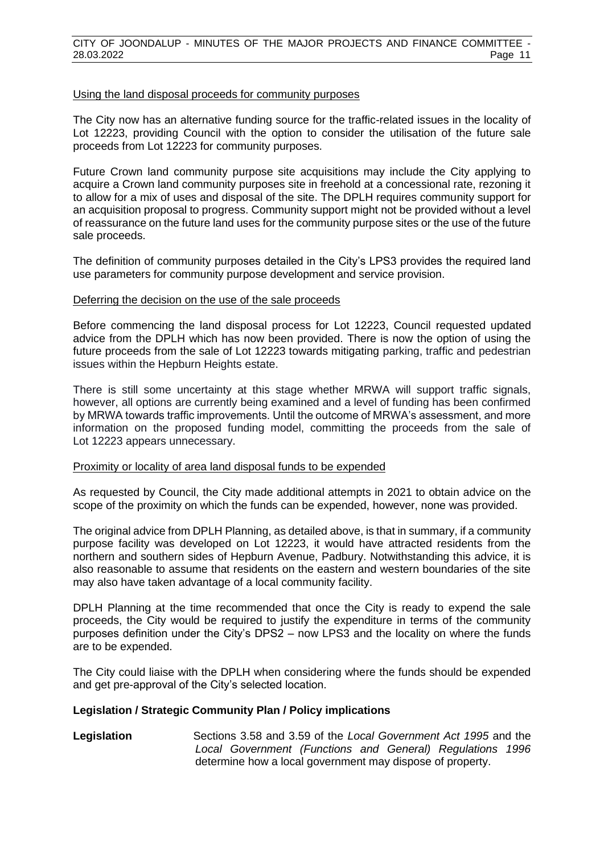### Using the land disposal proceeds for community purposes

The City now has an alternative funding source for the traffic-related issues in the locality of Lot 12223, providing Council with the option to consider the utilisation of the future sale proceeds from Lot 12223 for community purposes.

Future Crown land community purpose site acquisitions may include the City applying to acquire a Crown land community purposes site in freehold at a concessional rate, rezoning it to allow for a mix of uses and disposal of the site. The DPLH requires community support for an acquisition proposal to progress. Community support might not be provided without a level of reassurance on the future land uses for the community purpose sites or the use of the future sale proceeds.

The definition of community purposes detailed in the City's LPS3 provides the required land use parameters for community purpose development and service provision.

### Deferring the decision on the use of the sale proceeds

Before commencing the land disposal process for Lot 12223, Council requested updated advice from the DPLH which has now been provided. There is now the option of using the future proceeds from the sale of Lot 12223 towards mitigating parking, traffic and pedestrian issues within the Hepburn Heights estate.

There is still some uncertainty at this stage whether MRWA will support traffic signals, however, all options are currently being examined and a level of funding has been confirmed by MRWA towards traffic improvements. Until the outcome of MRWA's assessment, and more information on the proposed funding model, committing the proceeds from the sale of Lot 12223 appears unnecessary.

### Proximity or locality of area land disposal funds to be expended

As requested by Council, the City made additional attempts in 2021 to obtain advice on the scope of the proximity on which the funds can be expended, however, none was provided.

The original advice from DPLH Planning, as detailed above, is that in summary, if a community purpose facility was developed on Lot 12223, it would have attracted residents from the northern and southern sides of Hepburn Avenue, Padbury. Notwithstanding this advice, it is also reasonable to assume that residents on the eastern and western boundaries of the site may also have taken advantage of a local community facility.

DPLH Planning at the time recommended that once the City is ready to expend the sale proceeds, the City would be required to justify the expenditure in terms of the community purposes definition under the City's DPS2 – now LPS3 and the locality on where the funds are to be expended.

The City could liaise with the DPLH when considering where the funds should be expended and get pre-approval of the City's selected location.

### **Legislation / Strategic Community Plan / Policy implications**

### **Legislation** Sections 3.58 and 3.59 of the *Local Government Act 1995* and the *Local Government (Functions and General) Regulations 1996* determine how a local government may dispose of property.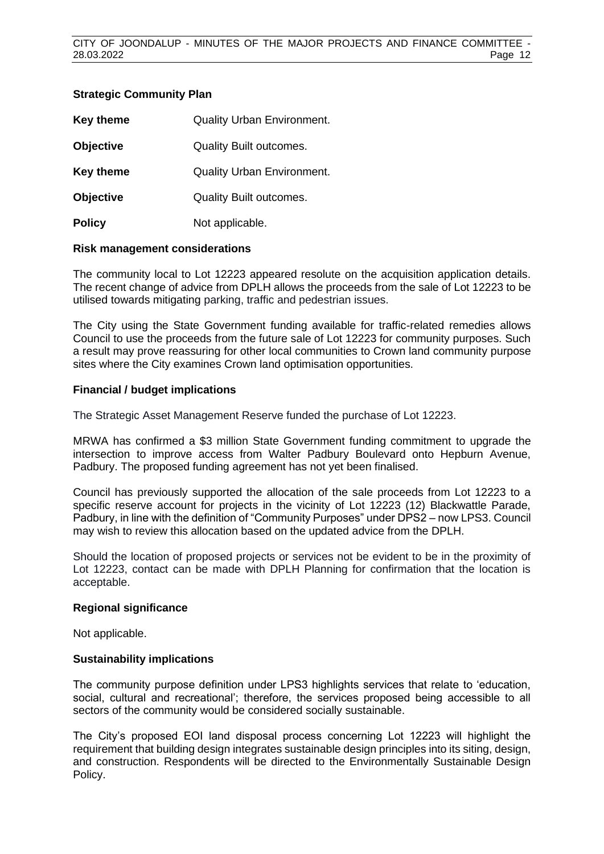### **Strategic Community Plan**

| Key theme        | <b>Quality Urban Environment.</b> |
|------------------|-----------------------------------|
| <b>Objective</b> | <b>Quality Built outcomes.</b>    |
| <b>Key theme</b> | Quality Urban Environment.        |
| <b>Objective</b> | <b>Quality Built outcomes.</b>    |
| <b>Policy</b>    | Not applicable.                   |

### **Risk management considerations**

The community local to Lot 12223 appeared resolute on the acquisition application details. The recent change of advice from DPLH allows the proceeds from the sale of Lot 12223 to be utilised towards mitigating parking, traffic and pedestrian issues.

The City using the State Government funding available for traffic-related remedies allows Council to use the proceeds from the future sale of Lot 12223 for community purposes. Such a result may prove reassuring for other local communities to Crown land community purpose sites where the City examines Crown land optimisation opportunities.

### **Financial / budget implications**

The Strategic Asset Management Reserve funded the purchase of Lot 12223.

MRWA has confirmed a \$3 million State Government funding commitment to upgrade the intersection to improve access from Walter Padbury Boulevard onto Hepburn Avenue, Padbury. The proposed funding agreement has not yet been finalised.

Council has previously supported the allocation of the sale proceeds from Lot 12223 to a specific reserve account for projects in the vicinity of Lot 12223 (12) Blackwattle Parade, Padbury, in line with the definition of "Community Purposes" under DPS2 – now LPS3. Council may wish to review this allocation based on the updated advice from the DPLH.

Should the location of proposed projects or services not be evident to be in the proximity of Lot 12223, contact can be made with DPLH Planning for confirmation that the location is acceptable.

### **Regional significance**

Not applicable.

### **Sustainability implications**

The community purpose definition under LPS3 highlights services that relate to 'education, social, cultural and recreational'; therefore, the services proposed being accessible to all sectors of the community would be considered socially sustainable.

The City's proposed EOI land disposal process concerning Lot 12223 will highlight the requirement that building design integrates sustainable design principles into its siting, design, and construction. Respondents will be directed to the Environmentally Sustainable Design Policy.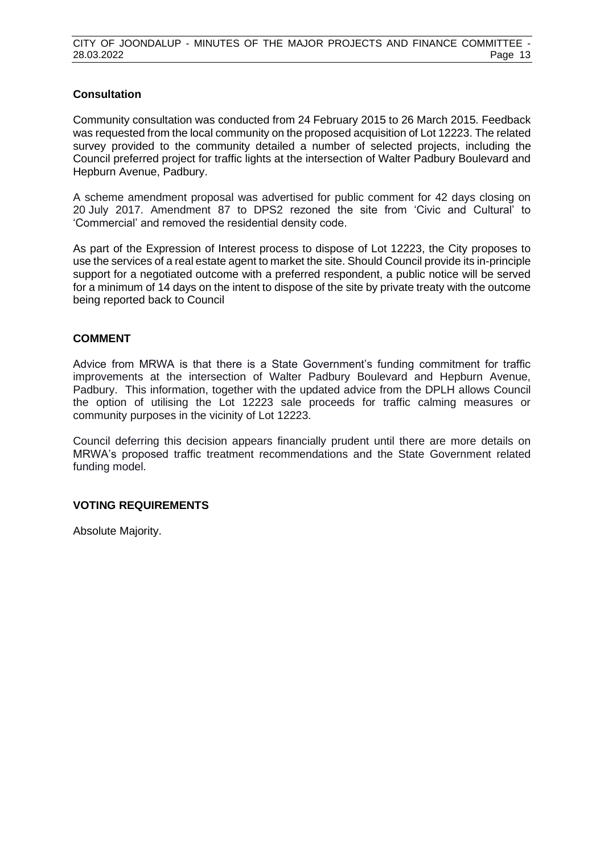### **Consultation**

Community consultation was conducted from 24 February 2015 to 26 March 2015. Feedback was requested from the local community on the proposed acquisition of Lot 12223. The related survey provided to the community detailed a number of selected projects, including the Council preferred project for traffic lights at the intersection of Walter Padbury Boulevard and Hepburn Avenue, Padbury.

A scheme amendment proposal was advertised for public comment for 42 days closing on 20 July 2017. Amendment 87 to DPS2 rezoned the site from 'Civic and Cultural' to 'Commercial' and removed the residential density code.

As part of the Expression of Interest process to dispose of Lot 12223, the City proposes to use the services of a real estate agent to market the site. Should Council provide its in-principle support for a negotiated outcome with a preferred respondent, a public notice will be served for a minimum of 14 days on the intent to dispose of the site by private treaty with the outcome being reported back to Council

### **COMMENT**

Advice from MRWA is that there is a State Government's funding commitment for traffic improvements at the intersection of Walter Padbury Boulevard and Hepburn Avenue, Padbury. This information, together with the updated advice from the DPLH allows Council the option of utilising the Lot 12223 sale proceeds for traffic calming measures or community purposes in the vicinity of Lot 12223.

Council deferring this decision appears financially prudent until there are more details on MRWA's proposed traffic treatment recommendations and the State Government related funding model.

### **VOTING REQUIREMENTS**

Absolute Majority.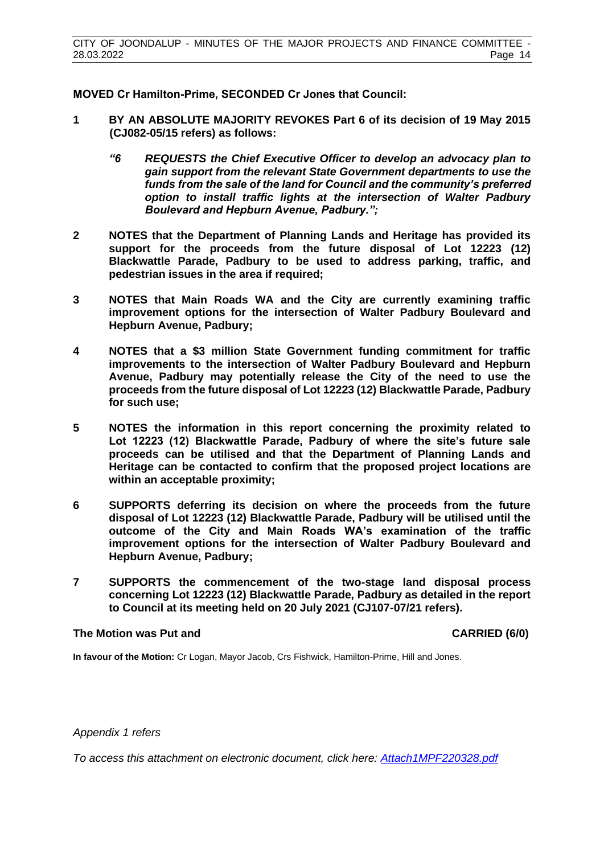**MOVED Cr Hamilton-Prime, SECONDED Cr Jones that Council:**

- **1 BY AN ABSOLUTE MAJORITY REVOKES Part 6 of its decision of 19 May 2015 (CJ082-05/15 refers) as follows:**
	- *"6 REQUESTS the Chief Executive Officer to develop an advocacy plan to gain support from the relevant State Government departments to use the funds from the sale of the land for Council and the community's preferred option to install traffic lights at the intersection of Walter Padbury Boulevard and Hepburn Avenue, Padbury.";*
- **2 NOTES that the Department of Planning Lands and Heritage has provided its support for the proceeds from the future disposal of Lot 12223 (12) Blackwattle Parade, Padbury to be used to address parking, traffic, and pedestrian issues in the area if required;**
- **3 NOTES that Main Roads WA and the City are currently examining traffic improvement options for the intersection of Walter Padbury Boulevard and Hepburn Avenue, Padbury;**
- **4 NOTES that a \$3 million State Government funding commitment for traffic improvements to the intersection of Walter Padbury Boulevard and Hepburn Avenue, Padbury may potentially release the City of the need to use the proceeds from the future disposal of Lot 12223 (12) Blackwattle Parade, Padbury for such use;**
- **5 NOTES the information in this report concerning the proximity related to Lot 12223 (12) Blackwattle Parade, Padbury of where the site's future sale proceeds can be utilised and that the Department of Planning Lands and Heritage can be contacted to confirm that the proposed project locations are within an acceptable proximity;**
- **6 SUPPORTS deferring its decision on where the proceeds from the future disposal of Lot 12223 (12) Blackwattle Parade, Padbury will be utilised until the outcome of the City and Main Roads WA's examination of the traffic improvement options for the intersection of Walter Padbury Boulevard and Hepburn Avenue, Padbury;**
- **7 SUPPORTS the commencement of the two-stage land disposal process concerning Lot 12223 (12) Blackwattle Parade, Padbury as detailed in the report to Council at its meeting held on 20 July 2021 (CJ107-07/21 refers).**

### **The Motion was Put and CARRIED (6/0)**

**In favour of the Motion:** Cr Logan, Mayor Jacob, Crs Fishwick, Hamilton-Prime, Hill and Jones.

*Appendix 1 refers*

*[To access this attachment on electronic document, click here: Attach1MPF220328.pdf](http://www.joondalup.wa.gov.au/files/committees/MPFI/2022/Attach1MPF220328.pdf)*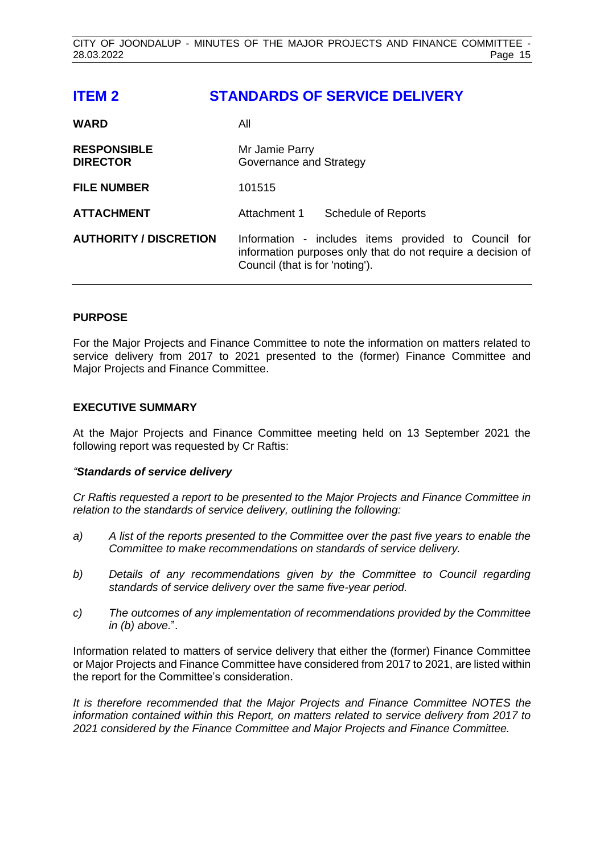# <span id="page-14-0"></span>**ITEM 2 STANDARDS OF SERVICE DELIVERY**

| <b>WARD</b>                           | All                                                                                                                                                    |  |
|---------------------------------------|--------------------------------------------------------------------------------------------------------------------------------------------------------|--|
| <b>RESPONSIBLE</b><br><b>DIRECTOR</b> | Mr Jamie Parry<br>Governance and Strategy                                                                                                              |  |
| <b>FILE NUMBER</b>                    | 101515                                                                                                                                                 |  |
| <b>ATTACHMENT</b>                     | Attachment 1<br><b>Schedule of Reports</b>                                                                                                             |  |
| <b>AUTHORITY / DISCRETION</b>         | Information - includes items provided to Council for<br>information purposes only that do not require a decision of<br>Council (that is for 'noting'). |  |

### **PURPOSE**

For the Major Projects and Finance Committee to note the information on matters related to service delivery from 2017 to 2021 presented to the (former) Finance Committee and Major Projects and Finance Committee.

### **EXECUTIVE SUMMARY**

At the Major Projects and Finance Committee meeting held on 13 September 2021 the following report was requested by Cr Raftis:

### *"Standards of service delivery*

*Cr Raftis requested a report to be presented to the Major Projects and Finance Committee in relation to the standards of service delivery, outlining the following:* 

- *a) A list of the reports presented to the Committee over the past five years to enable the Committee to make recommendations on standards of service delivery.*
- *b) Details of any recommendations given by the Committee to Council regarding standards of service delivery over the same five-year period.*
- *c) The outcomes of any implementation of recommendations provided by the Committee in (b) above.*".

Information related to matters of service delivery that either the (former) Finance Committee or Major Projects and Finance Committee have considered from 2017 to 2021, are listed within the report for the Committee's consideration.

*It is therefore recommended that the Major Projects and Finance Committee NOTES the information contained within this Report, on matters related to service delivery from 2017 to 2021 considered by the Finance Committee and Major Projects and Finance Committee.*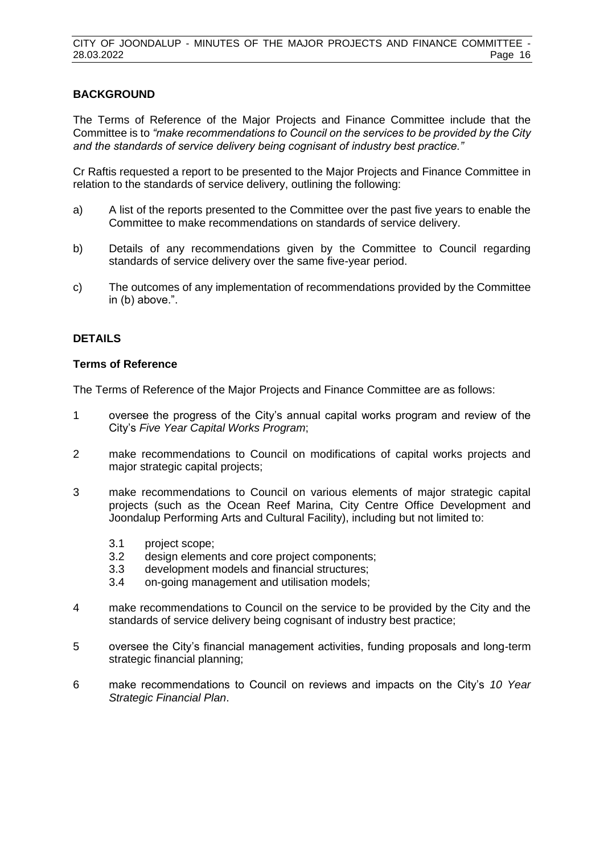### **BACKGROUND**

The Terms of Reference of the Major Projects and Finance Committee include that the Committee is to *"make recommendations to Council on the services to be provided by the City and the standards of service delivery being cognisant of industry best practice."*

Cr Raftis requested a report to be presented to the Major Projects and Finance Committee in relation to the standards of service delivery, outlining the following:

- a) A list of the reports presented to the Committee over the past five years to enable the Committee to make recommendations on standards of service delivery.
- b) Details of any recommendations given by the Committee to Council regarding standards of service delivery over the same five-year period.
- c) The outcomes of any implementation of recommendations provided by the Committee in (b) above.".

### **DETAILS**

### **Terms of Reference**

The Terms of Reference of the Major Projects and Finance Committee are as follows:

- 1 oversee the progress of the City's annual capital works program and review of the City's *Five Year Capital Works Program*;
- 2 make recommendations to Council on modifications of capital works projects and major strategic capital projects;
- 3 make recommendations to Council on various elements of major strategic capital projects (such as the Ocean Reef Marina, City Centre Office Development and Joondalup Performing Arts and Cultural Facility), including but not limited to:
	- 3.1 project scope;
	- 3.2 design elements and core project components;
	- 3.3 development models and financial structures;
	- 3.4 on-going management and utilisation models;
- 4 make recommendations to Council on the service to be provided by the City and the standards of service delivery being cognisant of industry best practice;
- 5 oversee the City's financial management activities, funding proposals and long-term strategic financial planning;
- 6 make recommendations to Council on reviews and impacts on the City's *10 Year Strategic Financial Plan*.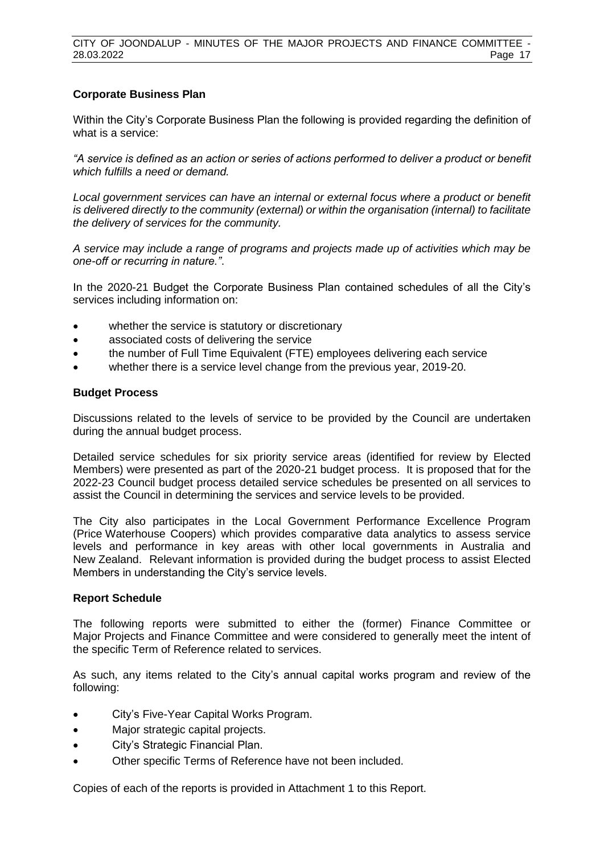### **Corporate Business Plan**

Within the City's Corporate Business Plan the following is provided regarding the definition of what is a service:

*"A service is defined as an action or series of actions performed to deliver a product or benefit which fulfills a need or demand.* 

*Local government services can have an internal or external focus where a product or benefit is delivered directly to the community (external) or within the organisation (internal) to facilitate the delivery of services for the community.* 

*A service may include a range of programs and projects made up of activities which may be one-off or recurring in nature."*.

In the 2020-21 Budget the Corporate Business Plan contained schedules of all the City's services including information on:

- whether the service is statutory or discretionary
- associated costs of delivering the service
- the number of Full Time Equivalent (FTE) employees delivering each service
- whether there is a service level change from the previous year, 2019-20.

### **Budget Process**

Discussions related to the levels of service to be provided by the Council are undertaken during the annual budget process.

Detailed service schedules for six priority service areas (identified for review by Elected Members) were presented as part of the 2020-21 budget process. It is proposed that for the 2022-23 Council budget process detailed service schedules be presented on all services to assist the Council in determining the services and service levels to be provided.

The City also participates in the Local Government Performance Excellence Program (Price Waterhouse Coopers) which provides comparative data analytics to assess service levels and performance in key areas with other local governments in Australia and New Zealand. Relevant information is provided during the budget process to assist Elected Members in understanding the City's service levels.

### **Report Schedule**

The following reports were submitted to either the (former) Finance Committee or Major Projects and Finance Committee and were considered to generally meet the intent of the specific Term of Reference related to services.

As such, any items related to the City's annual capital works program and review of the following:

- City's Five-Year Capital Works Program.
- Major strategic capital projects.
- City's Strategic Financial Plan.
- Other specific Terms of Reference have not been included.

Copies of each of the reports is provided in Attachment 1 to this Report.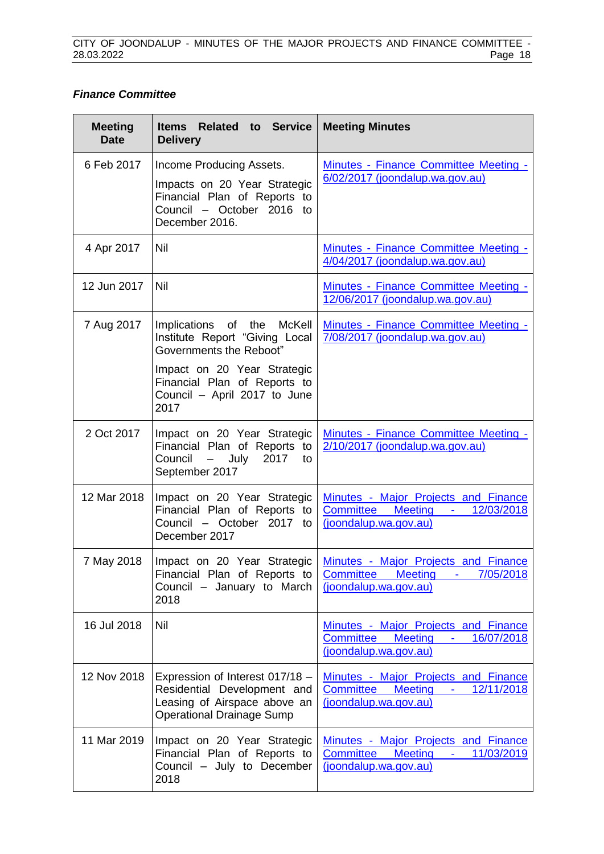### *Finance Committee*

| <b>Meeting</b><br><b>Date</b> | Related to Service<br><b>Items</b><br><b>Delivery</b>                                                                                                                                          | <b>Meeting Minutes</b>                                                                                                               |
|-------------------------------|------------------------------------------------------------------------------------------------------------------------------------------------------------------------------------------------|--------------------------------------------------------------------------------------------------------------------------------------|
| 6 Feb 2017                    | Income Producing Assets.<br>Impacts on 20 Year Strategic<br>Financial Plan of Reports to<br>Council - October 2016 to<br>December 2016.                                                        | Minutes - Finance Committee Meeting -<br>6/02/2017 (joondalup.wa.gov.au)                                                             |
| 4 Apr 2017                    | <b>Nil</b>                                                                                                                                                                                     | Minutes - Finance Committee Meeting -<br>4/04/2017 (joondalup.wa.gov.au)                                                             |
| 12 Jun 2017                   | <b>Nil</b>                                                                                                                                                                                     | Minutes - Finance Committee Meeting -<br>12/06/2017 (joondalup.wa.gov.au)                                                            |
| 7 Aug 2017                    | Implications of the McKell<br>Institute Report "Giving Local<br>Governments the Reboot"<br>Impact on 20 Year Strategic<br>Financial Plan of Reports to<br>Council - April 2017 to June<br>2017 | Minutes - Finance Committee Meeting -<br>7/08/2017 (joondalup.wa.gov.au)                                                             |
| 2 Oct 2017                    | Impact on 20 Year Strategic<br>Financial Plan of Reports to<br>2017<br>Council<br>July<br>$\overline{\phantom{0}}$<br>to<br>September 2017                                                     | Minutes - Finance Committee Meeting -<br>2/10/2017 (joondalup.wa.gov.au)                                                             |
| 12 Mar 2018                   | Impact on 20 Year Strategic<br>Financial Plan of Reports to<br>Council - October 2017 to<br>December 2017                                                                                      | Minutes - Major Projects and Finance<br><b>Committee</b><br><b>Meeting</b><br>12/03/2018<br><b>Contract</b><br>(joondalup.wa.gov.au) |
| 7 May 2018                    | Impact on 20 Year Strategic<br>Financial Plan of Reports to<br>Council - January to March<br>2018                                                                                              | Minutes - Major Projects and Finance<br><b>Committee Meeting</b><br>7/05/2018<br>$\sigma_{\rm{max}}$<br>(joondalup.wa.gov.au)        |
| 16 Jul 2018                   | <b>Nil</b>                                                                                                                                                                                     | Minutes - Major Projects and Finance<br>16/07/2018<br><b>Committee Meeting</b><br>$\sim 1000$ km s $^{-1}$<br>(joondalup.wa.gov.au)  |
| 12 Nov 2018                   | Expression of Interest 017/18 -<br>Residential Development and<br>Leasing of Airspace above an<br><b>Operational Drainage Sump</b>                                                             | Minutes - Major Projects and Finance<br>12/11/2018<br><b>Committee</b><br><b>Meeting</b><br>$\sim 100$<br>(joondalup.wa.gov.au)      |
| 11 Mar 2019                   | Impact on 20 Year Strategic<br>Financial Plan of Reports to<br>Council - July to December<br>2018                                                                                              | Minutes - Major Projects and Finance<br>Committee<br>Meeting -<br>11/03/2019<br>(joondalup.wa.gov.au)                                |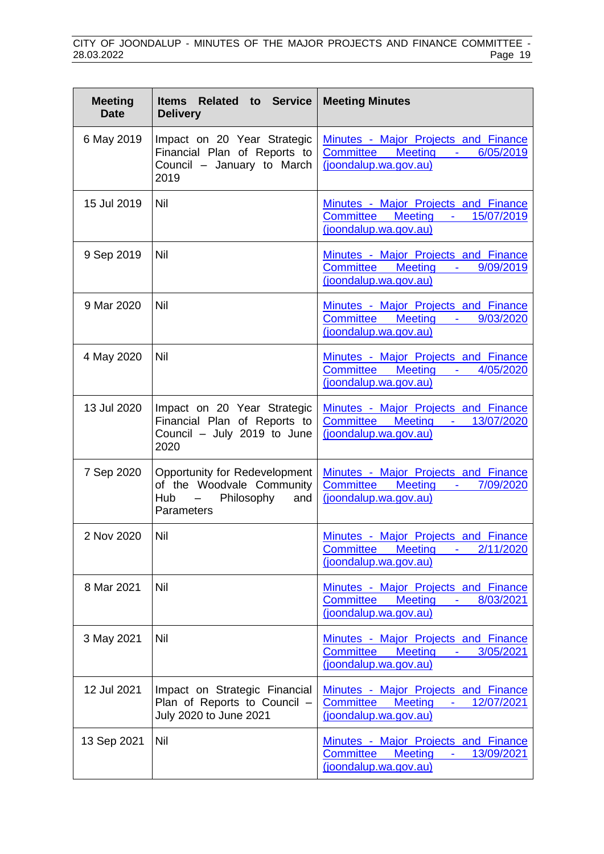| <b>Meeting</b><br><b>Date</b> | Items Related to Service<br><b>Delivery</b>                                                              | <b>Meeting Minutes</b>                                                                                                                     |
|-------------------------------|----------------------------------------------------------------------------------------------------------|--------------------------------------------------------------------------------------------------------------------------------------------|
| 6 May 2019                    | Impact on 20 Year Strategic<br>Financial Plan of Reports to<br>Council - January to March<br>2019        | Minutes - Major Projects and Finance<br>Committee Meeting -<br>6/05/2019<br>(joondalup.wa.gov.au)                                          |
| 15 Jul 2019                   | Nil                                                                                                      | Minutes - Major Projects and Finance<br>Committee Meeting - 15/07/2019<br>(joondalup.wa.gov.au)                                            |
| 9 Sep 2019                    | Nil                                                                                                      | Minutes - Major Projects and Finance<br><b>Meeting</b><br><b>Committee</b><br>9/09/2019<br>$\sim 100$<br>(joondalup.wa.gov.au)             |
| 9 Mar 2020                    | Nil                                                                                                      | Minutes - Major Projects and Finance<br><b>Committee</b><br><b>Meeting</b><br>9/03/2020<br><b>Contact Contact</b><br>(joondalup.wa.gov.au) |
| 4 May 2020                    | Nil                                                                                                      | Minutes - Major Projects and Finance<br>Committee Meeting -<br>4/05/2020<br>(joondalup.wa.gov.au)                                          |
| 13 Jul 2020                   | Impact on 20 Year Strategic<br>Financial Plan of Reports to<br>Council - July 2019 to June<br>2020       | Minutes - Major Projects and Finance<br>Committee<br><b>Meeting</b><br>13/07/2020<br>$\sigma_{\rm{max}}$<br>(joondalup.wa.gov.au)          |
| 7 Sep 2020                    | Opportunity for Redevelopment<br>of the Woodvale Community<br>$Hub -$<br>Philosophy<br>and<br>Parameters | Minutes - Major Projects and Finance<br>Meeting -<br><b>Committee</b><br>7/09/2020<br>(joondalup.wa.gov.au)                                |
| 2 Nov 2020                    | Nil                                                                                                      | Minutes - Major Projects and Finance<br>2/11/2020<br><b>Committee</b><br><b>Meeting</b><br>$\sim 100$<br>(joondalup.wa.gov.au)             |
| 8 Mar 2021                    | Nil                                                                                                      | Minutes - Major Projects and Finance<br>Meeting -<br>8/03/2021<br><b>Committee</b><br>(joondalup.wa.gov.au)                                |
| 3 May 2021                    | Nil                                                                                                      | <b>Minutes - Major Projects and Finance</b><br><b>Committee</b><br><b>Meeting</b><br>3/05/2021<br>$\sim 100$<br>(joondalup.wa.gov.au)      |
| 12 Jul 2021                   | Impact on Strategic Financial<br>Plan of Reports to Council -<br>July 2020 to June 2021                  | Minutes - Major Projects and Finance<br><b>Committee</b><br><b>Meeting</b><br>12/07/2021<br>$\omega_{\rm{max}}$<br>(joondalup.wa.gov.au)   |
| 13 Sep 2021                   | Nil                                                                                                      | Minutes - Major Projects and Finance<br><b>Meeting</b><br><b>Committee</b><br>13/09/2021<br>$\blacksquare$<br>(joondalup.wa.gov.au)        |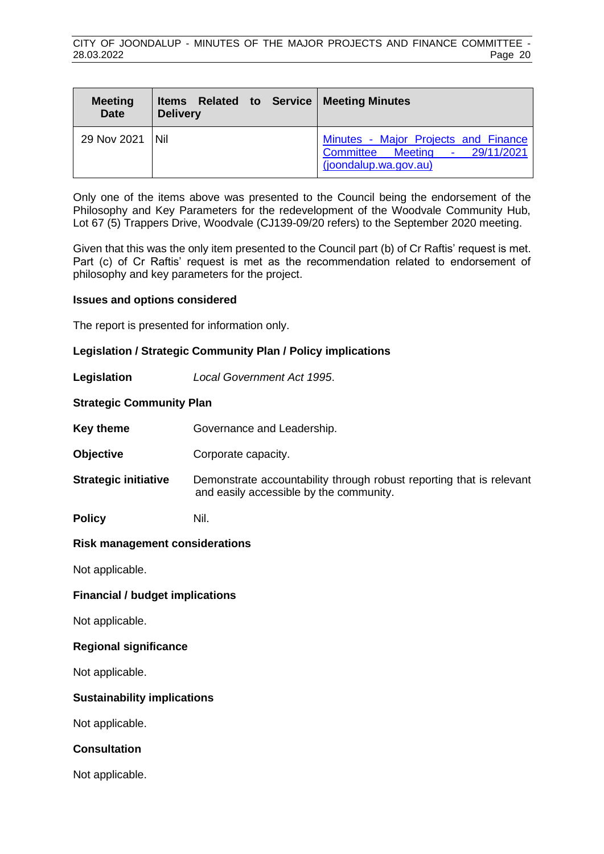| <b>Meeting</b><br><b>Date</b> | Items Related to Service   Meeting Minutes<br><b>Delivery</b> |                                                                                                            |
|-------------------------------|---------------------------------------------------------------|------------------------------------------------------------------------------------------------------------|
| 29 Nov 2021   Nil             |                                                               | Minutes - Major Projects and Finance<br>$-29/11/2021$<br><b>Committee Meeting</b><br>(joondalup.wa.gov.au) |

Only one of the items above was presented to the Council being the endorsement of the Philosophy and Key Parameters for the redevelopment of the Woodvale Community Hub, Lot 67 (5) Trappers Drive, Woodvale (CJ139-09/20 refers) to the September 2020 meeting.

Given that this was the only item presented to the Council part (b) of Cr Raftis' request is met. Part (c) of Cr Raftis' request is met as the recommendation related to endorsement of philosophy and key parameters for the project.

### **Issues and options considered**

The report is presented for information only.

### **Legislation / Strategic Community Plan / Policy implications**

**Legislation** *Local Government Act 1995*.

### **Strategic Community Plan**

**Key theme Governance and Leadership.** 

**Objective Corporate capacity.** 

**Strategic initiative** Demonstrate accountability through robust reporting that is relevant and easily accessible by the community.

**Policy** Nil.

### **Risk management considerations**

Not applicable.

### **Financial / budget implications**

Not applicable.

### **Regional significance**

Not applicable.

### **Sustainability implications**

Not applicable.

### **Consultation**

Not applicable.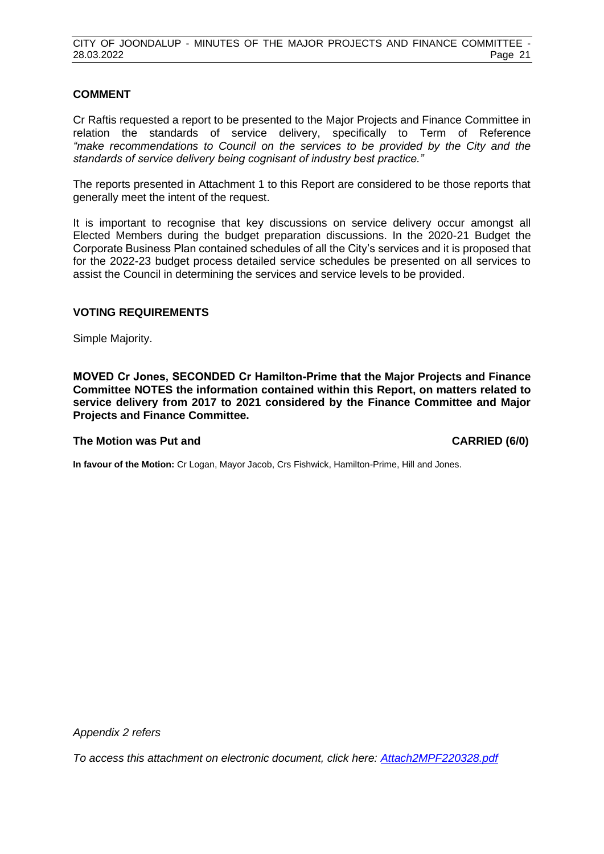### **COMMENT**

Cr Raftis requested a report to be presented to the Major Projects and Finance Committee in relation the standards of service delivery, specifically to Term of Reference *"make recommendations to Council on the services to be provided by the City and the standards of service delivery being cognisant of industry best practice."*

The reports presented in Attachment 1 to this Report are considered to be those reports that generally meet the intent of the request.

It is important to recognise that key discussions on service delivery occur amongst all Elected Members during the budget preparation discussions. In the 2020-21 Budget the Corporate Business Plan contained schedules of all the City's services and it is proposed that for the 2022-23 budget process detailed service schedules be presented on all services to assist the Council in determining the services and service levels to be provided.

### **VOTING REQUIREMENTS**

Simple Majority.

**MOVED Cr Jones, SECONDED Cr Hamilton-Prime that the Major Projects and Finance Committee NOTES the information contained within this Report, on matters related to service delivery from 2017 to 2021 considered by the Finance Committee and Major Projects and Finance Committee.**

### **The Motion was Put and CARRIED (6/0)**

**In favour of the Motion:** Cr Logan, Mayor Jacob, Crs Fishwick, Hamilton-Prime, Hill and Jones.

*Appendix 2 refers*

*[To access this attachment on electronic document, click here: Attach2MPF220328.pdf](http://www.joondalup.wa.gov.au/files/committees/MPFI/2022/Attach2MPF220328.pdf)*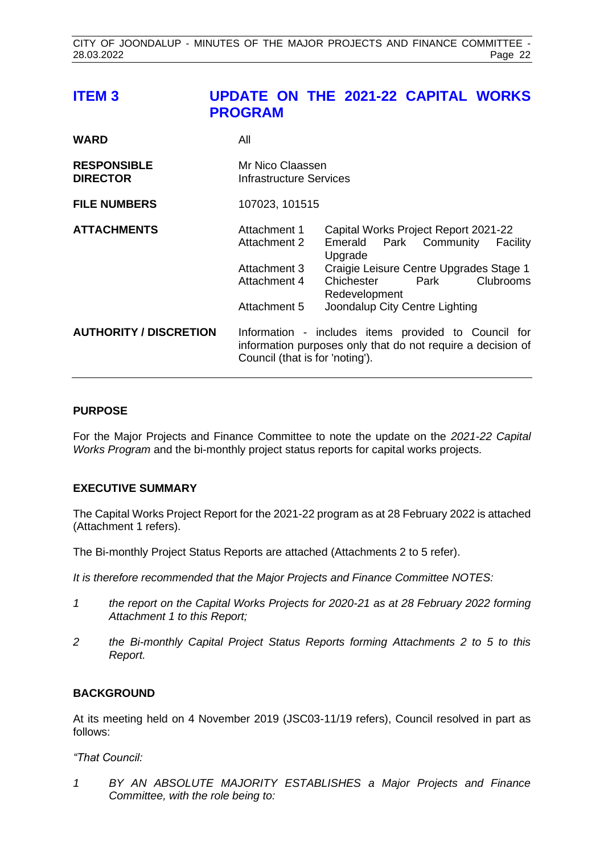# <span id="page-21-0"></span>**ITEM 3 UPDATE ON THE 2021-22 CAPITAL WORKS PROGRAM**

| <b>WARD</b>                           | All                                                                          |                                                                                                                                                                                                                        |
|---------------------------------------|------------------------------------------------------------------------------|------------------------------------------------------------------------------------------------------------------------------------------------------------------------------------------------------------------------|
| <b>RESPONSIBLE</b><br><b>DIRECTOR</b> | Mr Nico Claassen<br>Infrastructure Services                                  |                                                                                                                                                                                                                        |
| <b>FILE NUMBERS</b>                   | 107023, 101515                                                               |                                                                                                                                                                                                                        |
| <b>ATTACHMENTS</b>                    | Attachment 1<br>Attachment 2<br>Attachment 3<br>Attachment 4<br>Attachment 5 | Capital Works Project Report 2021-22<br>Emerald Park Community<br>Facility<br>Upgrade<br>Craigie Leisure Centre Upgrades Stage 1<br>Clubrooms<br>Chichester<br>Park<br>Redevelopment<br>Joondalup City Centre Lighting |
| <b>AUTHORITY / DISCRETION</b>         | Council (that is for 'noting').                                              | Information - includes items provided to Council for<br>information purposes only that do not require a decision of                                                                                                    |

### **PURPOSE**

For the Major Projects and Finance Committee to note the update on the *2021-22 Capital Works Program* and the bi-monthly project status reports for capital works projects.

### **EXECUTIVE SUMMARY**

The Capital Works Project Report for the 2021-22 program as at 28 February 2022 is attached (Attachment 1 refers).

The Bi-monthly Project Status Reports are attached (Attachments 2 to 5 refer).

*It is therefore recommended that the Major Projects and Finance Committee NOTES:*

- *1 the report on the Capital Works Projects for 2020-21 as at 28 February 2022 forming Attachment 1 to this Report;*
- *2 the Bi-monthly Capital Project Status Reports forming Attachments 2 to 5 to this Report.*

### **BACKGROUND**

At its meeting held on 4 November 2019 (JSC03-11/19 refers), Council resolved in part as follows:

*"That Council:*

*1 BY AN ABSOLUTE MAJORITY ESTABLISHES a Major Projects and Finance Committee, with the role being to:*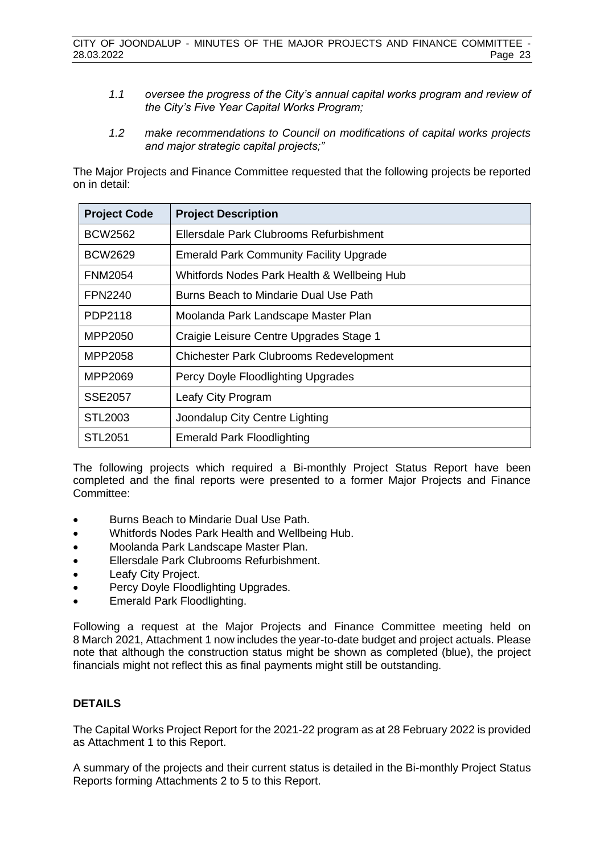- *1.1 oversee the progress of the City's annual capital works program and review of the City's Five Year Capital Works Program;*
- *1.2 make recommendations to Council on modifications of capital works projects and major strategic capital projects;"*

The Major Projects and Finance Committee requested that the following projects be reported on in detail:

| <b>Project Code</b> | <b>Project Description</b>                     |
|---------------------|------------------------------------------------|
| <b>BCW2562</b>      | Ellersdale Park Clubrooms Refurbishment        |
| BCW2629             | <b>Emerald Park Community Facility Upgrade</b> |
| <b>FNM2054</b>      | Whitfords Nodes Park Health & Wellbeing Hub    |
| <b>FPN2240</b>      | Burns Beach to Mindarie Dual Use Path          |
| PDP2118             | Moolanda Park Landscape Master Plan            |
| MPP2050             | Craigie Leisure Centre Upgrades Stage 1        |
| MPP2058             | <b>Chichester Park Clubrooms Redevelopment</b> |
| MPP2069             | Percy Doyle Floodlighting Upgrades             |
| SSE2057             | Leafy City Program                             |
| STL2003             | Joondalup City Centre Lighting                 |
| STL <sub>2051</sub> | <b>Emerald Park Floodlighting</b>              |

The following projects which required a Bi-monthly Project Status Report have been completed and the final reports were presented to a former Major Projects and Finance Committee:

- Burns Beach to Mindarie Dual Use Path.
- Whitfords Nodes Park Health and Wellbeing Hub.
- Moolanda Park Landscape Master Plan.
- Ellersdale Park Clubrooms Refurbishment.
- Leafy City Project.
- Percy Doyle Floodlighting Upgrades.
- Emerald Park Floodlighting.

Following a request at the Major Projects and Finance Committee meeting held on 8 March 2021, Attachment 1 now includes the year-to-date budget and project actuals. Please note that although the construction status might be shown as completed (blue), the project financials might not reflect this as final payments might still be outstanding.

### **DETAILS**

The Capital Works Project Report for the 2021-22 program as at 28 February 2022 is provided as Attachment 1 to this Report.

A summary of the projects and their current status is detailed in the Bi-monthly Project Status Reports forming Attachments 2 to 5 to this Report.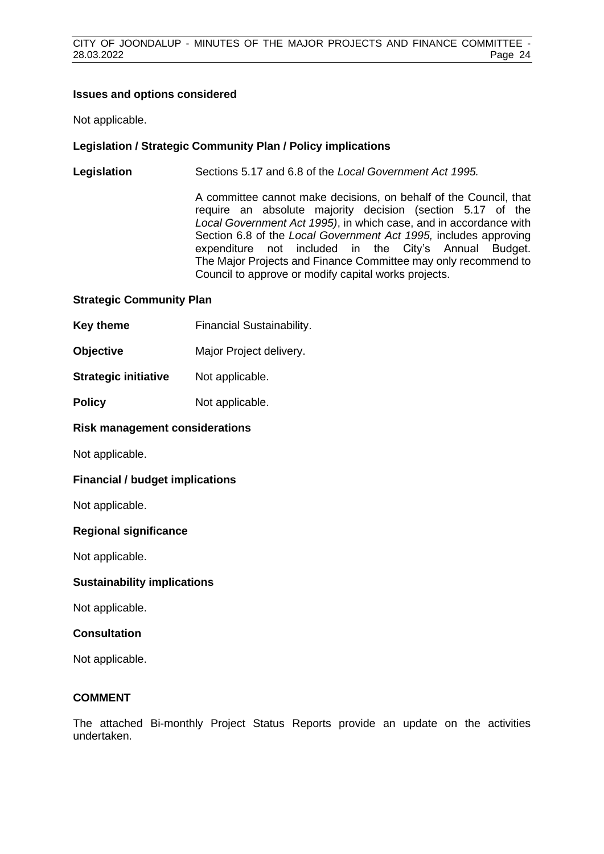### **Issues and options considered**

Not applicable.

### **Legislation / Strategic Community Plan / Policy implications**

**Legislation** Sections 5.17 and 6.8 of the *Local Government Act 1995.*

A committee cannot make decisions, on behalf of the Council, that require an absolute majority decision (section 5.17 of the *Local Government Act 1995)*, in which case, and in accordance with Section 6.8 of the *Local Government Act 1995,* includes approving expenditure not included in the City's Annual Budget. The Major Projects and Finance Committee may only recommend to Council to approve or modify capital works projects.

### **Strategic Community Plan**

- **Key theme** Financial Sustainability.
- **Objective** Major Project delivery.
- **Strategic initiative** Not applicable.
- **Policy** Not applicable.

### **Risk management considerations**

Not applicable.

### **Financial / budget implications**

Not applicable.

### **Regional significance**

Not applicable.

### **Sustainability implications**

Not applicable.

### **Consultation**

Not applicable.

### **COMMENT**

The attached Bi-monthly Project Status Reports provide an update on the activities undertaken.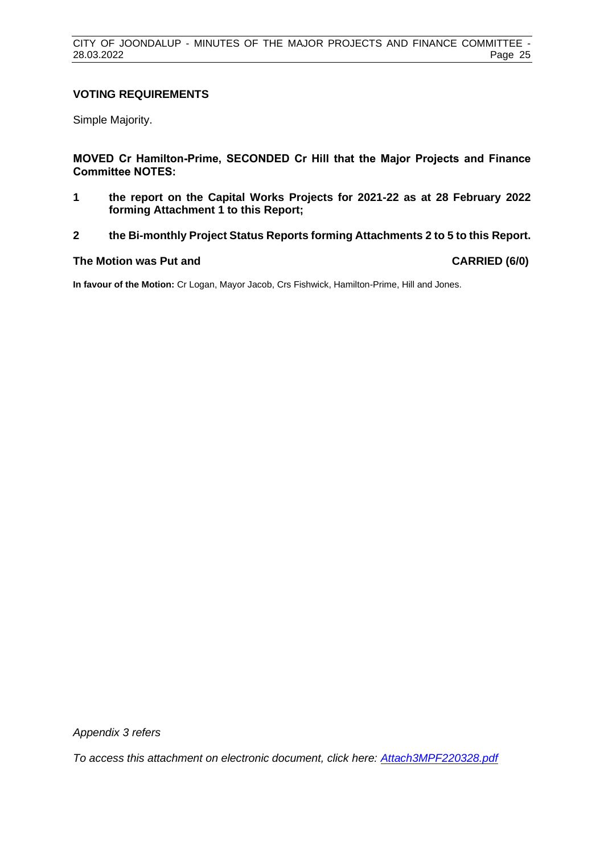### **VOTING REQUIREMENTS**

Simple Majority.

**MOVED Cr Hamilton-Prime, SECONDED Cr Hill that the Major Projects and Finance Committee NOTES:**

- **1 the report on the Capital Works Projects for 2021-22 as at 28 February 2022 forming Attachment 1 to this Report;**
- **2 the Bi-monthly Project Status Reports forming Attachments 2 to 5 to this Report.**

### **The Motion was Put and CARRIED (6/0)**

**In favour of the Motion:** Cr Logan, Mayor Jacob, Crs Fishwick, Hamilton-Prime, Hill and Jones.

*Appendix 3 refers*

*[To access this attachment on electronic document, click here: Attach3MPF220328.pdf](http://www.joondalup.wa.gov.au/files/committees/MPFI/2022/Attach3MPF220328.pdf)*